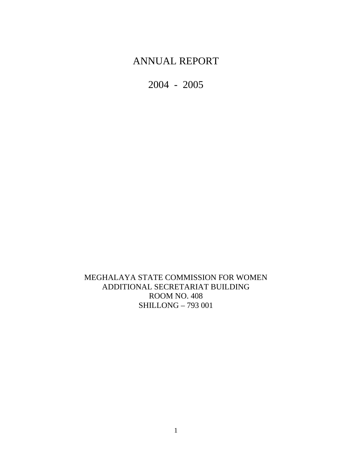# ANNUAL REPORT

2004 - 2005

MEGHALAYA STATE COMMISSION FOR WOMEN ADDITIONAL SECRETARIAT BUILDING ROOM NO. 408 SHILLONG – 793 001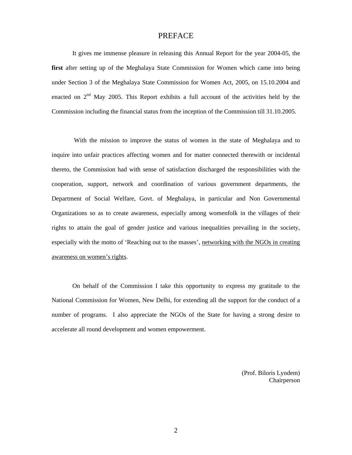### PREFACE

It gives me immense pleasure in releasing this Annual Report for the year 2004-05, the **first** after setting up of the Meghalaya State Commission for Women which came into being under Section 3 of the Meghalaya State Commission for Women Act, 2005, on 15.10.2004 and enacted on  $2<sup>nd</sup>$  May 2005. This Report exhibits a full account of the activities held by the Commission including the financial status from the inception of the Commission till 31.10.2005.

With the mission to improve the status of women in the state of Meghalaya and to inquire into unfair practices affecting women and for matter connected therewith or incidental thereto, the Commission had with sense of satisfaction discharged the responsibilities with the cooperation, support, network and coordination of various government departments, the Department of Social Welfare, Govt. of Meghalaya, in particular and Non Governmental Organizations so as to create awareness, especially among womenfolk in the villages of their rights to attain the goal of gender justice and various inequalities prevailing in the society, especially with the motto of 'Reaching out to the masses', networking with the NGOs in creating awareness on women's rights.

On behalf of the Commission I take this opportunity to express my gratitude to the National Commission for Women, New Delhi, for extending all the support for the conduct of a number of programs. I also appreciate the NGOs of the State for having a strong desire to accelerate all round development and women empowerment.

> (Prof. Biloris Lyndem) Chairperson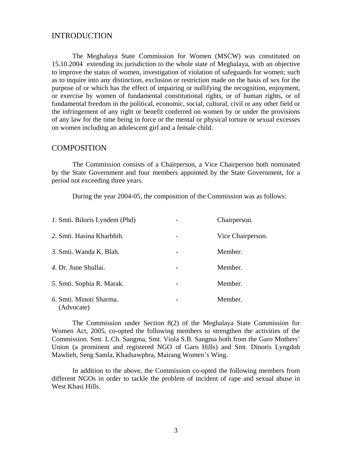# INTRODUCTION

The Meghalaya State Commission for Women (MSCW) was constituted on 15.10.2004 extending its jurisdiction to the whole state of Meghalaya, with an objective to improve the status of women, investigation of violation of safeguards for women; such as to inquire into any distinction, exclusion or restriction made on the basis of sex for the purpose of or which has the effect of impairing or nullifying the recognition, enjoyment, or exercise by women of fundamental constitutional rights, or of human rights, or of fundamental freedom in the political, economic, social, cultural, civil or any other field or the infringement of any right or benefit conferred on women by or under the provisions of any law for the time being in force or the mental or physical torture or sexual excesses on women including an adolescent girl and a female child.

#### **COMPOSITION**

The Commission consists of a Chairperson, a Vice Chairperson both nominated by the State Government and four members appointed by the State Government, for a period not exceeding three years.

During the year 2004-05, the composition of the Commission was as follows:

| <i>l</i> . Smti. Biloris Lyndem (Phd) |   | Chairperson.      |
|---------------------------------------|---|-------------------|
| 2. Smti. Hasina Kharbhih.             | - | Vice Chairperson. |
| 3. Smti. Wanda K. Blah.               |   | Member.           |
| 4. Dr. June Shullai.                  |   | Member.           |
| 5. Smti. Sophia R. Marak.             |   | Member.           |
| 6. Smti. Minoti Sharma.<br>(Advocate) | - | Member.           |

The Commission under Section 8(2) of the Meghalaya State Commission for Women Act, 2005, co-opted the following members to strengthen the activities of the Commission. Smt. L.Ch. Sangma, Smt. Viola S.B. Sangma both from the Garo Mothers' Union (a prominent and registered NGO of Garo Hills) and Smt. Dinoris Lyngdoh Mawlieh, Seng Samla, Khadsawphra, Mairang Women's Wing.

In addition to the above, the Commission co-opted the following members from different NGOs in order to tackle the problem of incident of rape and sexual abuse in West Khasi Hills.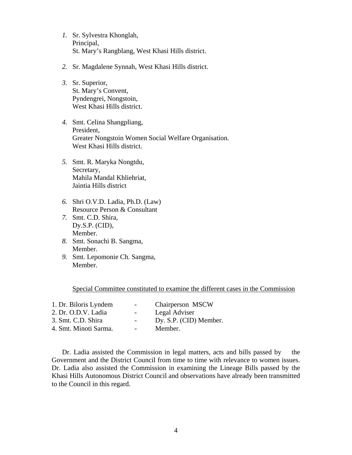- *1.* Sr. Sylvestra Khonglah, Principal, St. Mary's Rangblang, West Khasi Hills district.
- *2.* Sr. Magdalene Synnah, West Khasi Hills district.
- *3.* Sr. Superior, St. Mary's Convent, Pyndengrei, Nongstoin, West Khasi Hills district.
- *4.* Smt. Celina Shangpliang, President, Greater Nongstoin Women Social Welfare Organisation. West Khasi Hills district.
- *5.* Smt. R. Maryka Nongtdu, Secretary, Mahila Mandal Khliehriat, Jaintia Hills district
- *6.* Shri O.V.D. Ladia, Ph.D. (Law) Resource Person & Consultant
- *7.* Smt. C.D. Shira, Dy.S.P. (CID), Member.
- *8.* Smt. Sonachi B. Sangma, Member.
- *9.* Smt. Lepomonie Ch. Sangma, Member.

Special Committee constituted to examine the different cases in the Commission

| 1. Dr. Biloris Lyndem | $\overline{\phantom{0}}$ | Chairperson MSCW       |
|-----------------------|--------------------------|------------------------|
| 2. Dr. O.D.V. Ladia   | $ -$                     | Legal Adviser          |
| 3. Smt. C.D. Shira    | $\overline{\phantom{a}}$ | Dy. S.P. (CID) Member. |
| 4. Smt. Minoti Sarma. | $\overline{\phantom{a}}$ | Member.                |

Dr. Ladia assisted the Commission in legal matters, acts and bills passed by the Government and the District Council from time to time with relevance to women issues. Dr. Ladia also assisted the Commission in examining the Lineage Bills passed by the Khasi Hills Autonomous District Council and observations have already been transmitted to the Council in this regard.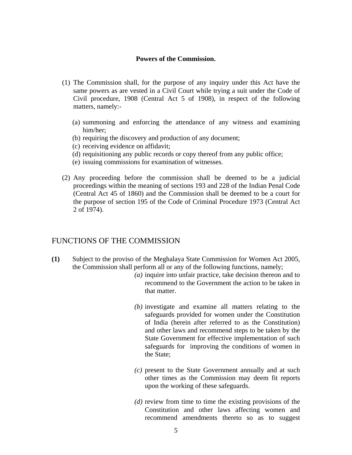#### **Powers of the Commission.**

- (1) The Commission shall, for the purpose of any inquiry under this Act have the same powers as are vested in a Civil Court while trying a suit under the Code of Civil procedure, 1908 (Central Act 5 of 1908), in respect of the following matters, namely:-
	- (a) summoning and enforcing the attendance of any witness and examining him/her;
	- (b) requiring the discovery and production of any document;
	- (c) receiving evidence on affidavit;
	- (d) requisitioning any public records or copy thereof from any public office;
	- (e) issuing commissions for examination of witnesses.
- (2) Any proceeding before the commission shall be deemed to be a judicial proceedings within the meaning of sections 193 and 228 of the Indian Penal Code (Central Act 45 of 1860) and the Commission shall be deemed to be a court for the purpose of section 195 of the Code of Criminal Procedure 1973 (Central Act 2 of 1974).

# FUNCTIONS OF THE COMMISSION

- $(1)$ Subject to the proviso of the Meghalaya State Commission for Women Act 2005, the Commission shall perform all or any of the following functions, namely;
	- *(a)* inquire into unfair practice, take decision thereon and to recommend to the Government the action to be taken in that matter.
	- *(b)* investigate and examine all matters relating to the safeguards provided for women under the Constitution of India (herein after referred to as the Constitution) and other laws and recommend steps to be taken by the State Government for effective implementation of such safeguards for improving the conditions of women in the State;
	- *(c)* present to the State Government annually and at such other times as the Commission may deem fit reports upon the working of these safeguards.
	- *(d)* review from time to time the existing provisions of the Constitution and other laws affecting women and recommend amendments thereto so as to suggest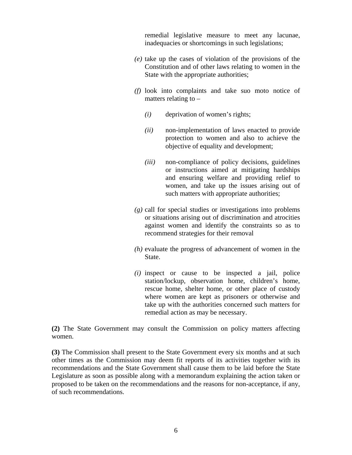remedial legislative measure to meet any lacunae, inadequacies or shortcomings in such legislations;

- *(e)* take up the cases of violation of the provisions of the Constitution and of other laws relating to women in the State with the appropriate authorities;
- *(f)* look into complaints and take suo moto notice of matters relating to  $-$ 
	- *(i)* deprivation of women's rights;
	- *(ii)* non-implementation of laws enacted to provide protection to women and also to achieve the objective of equality and development;
	- *(iii)* non-compliance of policy decisions, guidelines or instructions aimed at mitigating hardships and ensuring welfare and providing relief to women, and take up the issues arising out of such matters with appropriate authorities;
- *(g)* call for special studies or investigations into problems or situations arising out of discrimination and atrocities against women and identify the constraints so as to recommend strategies for their removal
- *(h)* evaluate the progress of advancement of women in the State.
- *(i)* inspect or cause to be inspected a jail, police station/lockup, observation home, children's home, rescue home, shelter home, or other place of custody where women are kept as prisoners or otherwise and take up with the authorities concerned such matters for remedial action as may be necessary.

**(2)** The State Government may consult the Commission on policy matters affecting women.

**(3)** The Commission shall present to the State Government every six months and at such other times as the Commission may deem fit reports of its activities together with its recommendations and the State Government shall cause them to be laid before the State Legislature as soon as possible along with a memorandum explaining the action taken or proposed to be taken on the recommendations and the reasons for non-acceptance, if any, of such recommendations.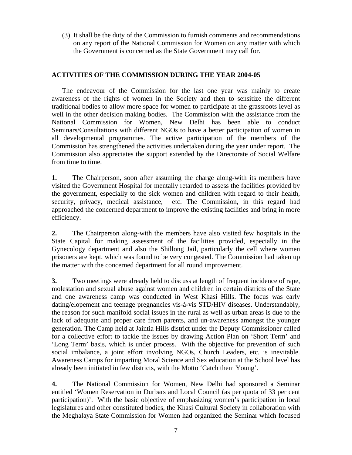(3) It shall be the duty of the Commission to furnish comments and recommendations on any report of the National Commission for Women on any matter with which the Government is concerned as the State Government may call for.

# **ACTIVITIES OF THE COMMISSION DURING THE YEAR 2004-05**

The endeavour of the Commission for the last one year was mainly to create awareness of the rights of women in the Society and then to sensitize the different traditional bodies to allow more space for women to participate at the grassroots level as well in the other decision making bodies. The Commission with the assistance from the National Commission for Women, New Delhi has been able to conduct Seminars/Consultations with different NGOs to have a better participation of women in all developmental programmes. The active participation of the members of the Commission has strengthened the activities undertaken during the year under report. The Commission also appreciates the support extended by the Directorate of Social Welfare from time to time.

1. **1.** The Chairperson, soon after assuming the charge along-with its members have visited the Government Hospital for mentally retarded to assess the facilities provided by the government, especially to the sick women and children with regard to their health, security, privacy, medical assistance, etc. The Commission, in this regard had approached the concerned department to improve the existing facilities and bring in more efficiency.

**2.** The Chairperson along-with the members have also visited few hospitals in the State Capital for making assessment of the facilities provided, especially in the Gynecology department and also the Shillong Jail, particularly the cell where women prisoners are kept, which was found to be very congested. The Commission had taken up the matter with the concerned department for all round improvement.

**3.** Two meetings were already held to discuss at length of frequent incidence of rape, molestation and sexual abuse against women and children in certain districts of the State and one awareness camp was conducted in West Khasi Hills. The focus was early dating/elopement and teenage pregnancies vis-à-vis STD/HIV diseases. Understandably, the reason for such manifold social issues in the rural as well as urban areas is due to the lack of adequate and proper care from parents, and un-awareness amongst the younger generation. The Camp held at Jaintia Hills district under the Deputy Commissioner called for a collective effort to tackle the issues by drawing Action Plan on 'Short Term' and 'Long Term' basis, which is under process. With the objective for prevention of such social imbalance, a joint effort involving NGOs, Church Leaders, etc. is inevitable. Awareness Camps for imparting Moral Science and Sex education at the School level has already been initiated in few districts, with the Motto 'Catch them Young'.

**4.** The National Commission for Women, New Delhi had sponsored a Seminar entitled *'Women Reservation in Durbars and Local Council (as per quota of 33 per cent* participation)'. With the basic objective of emphasizing women's participation in local legislatures and other constituted bodies, the Khasi Cultural Society in collaboration with the Meghalaya State Commission for Women had organized the Seminar which focused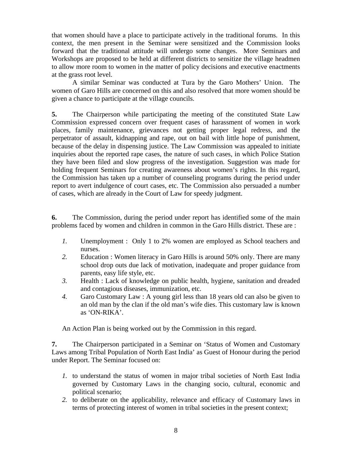that women should have a place to participate actively in the traditional forums. In this context, the men present in the Seminar were sensitized and the Commission looks forward that the traditional attitude will undergo some changes. More Seminars and Workshops are proposed to be held at different districts to sensitize the village headmen to allow more room to women in the matter of policy decisions and executive enactments at the grass root level.

A similar Seminar was conducted at Tura by the Garo Mothers' Union. The women of Garo Hills are concerned on this and also resolved that more women should be given a chance to participate at the village councils.

**5.** The Chairperson while participating the meeting of the constituted State Law Commission expressed concern over frequent cases of harassment of women in work places, family maintenance, grievances not getting proper legal redress, and the perpetrator of assault, kidnapping and rape, out on bail with little hope of punishment, because of the delay in dispensing justice. The Law Commission was appealed to initiate inquiries about the reported rape cases, the nature of such cases, in which Police Station they have been filed and slow progress of the investigation. Suggestion was made for holding frequent Seminars for creating awareness about women's rights. In this regard, the Commission has taken up a number of counseling programs during the period under report to avert indulgence of court cases, etc. The Commission also persuaded a number of cases, which are already in the Court of Law for speedy judgment.

**6.** The Commission, during the period under report has identified some of the main problems faced by women and children in common in the Garo Hills district. These are :

- *1.* Unemployment : Only 1 to 2% women are employed as School teachers and nurses.
- *2.* Education : Women literacy in Garo Hills is around 50% only. There are many school drop outs due lack of motivation, inadequate and proper guidance from parents, easy life style, etc.
- *3.* Health : Lack of knowledge on public health, hygiene, sanitation and dreaded and contagious diseases, immunization, etc.
- *4.* Garo Customary Law : A young girl less than 18 years old can also be given to an old man by the clan if the old man's wife dies. This customary law is known as 'ON-RIKA'.

An Action Plan is being worked out by the Commission in this regard.

**7.** The Chairperson participated in a Seminar on 'Status of Women and Customary Laws among Tribal Population of North East India' as Guest of Honour during the period under Report. The Seminar focused on:

- *1.* to understand the status of women in major tribal societies of North East India governed by Customary Laws in the changing socio, cultural, economic and political scenario;
- *2.* to deliberate on the applicability, relevance and efficacy of Customary laws in terms of protecting interest of women in tribal societies in the present context;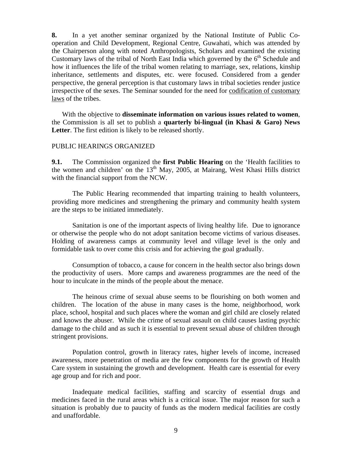**8.** In a yet another seminar organized by the National Institute of Public Cooperation and Child Development, Regional Centre, Guwahati, which was attended by the Chairperson along with noted Anthropologists, Scholars and examined the existing Customary laws of the tribal of North East India which governed by the  $6<sup>th</sup>$  Schedule and how it influences the life of the tribal women relating to marriage, sex, relations, kinship inheritance, settlements and disputes, etc. were focused. Considered from a gender perspective, the general perception is that customary laws in tribal societies render justice irrespective of the sexes. The Seminar sounded for the need for codification of customary laws of the tribes.

With the objective to **disseminate information on various issues related to women**, the Commission is all set to publish a **quarterly bi-lingual (in Khasi & Garo) News Letter**. The first edition is likely to be released shortly.

#### PUBLIC HEARINGS ORGANIZED

with the financial support from the NCW. **9.1.** The Commission organized the **first Public Hearing** on the 'Health facilities to the women and children' on the  $13<sup>th</sup>$  May, 2005, at Mairang, West Khasi Hills district

The Public Hearing recommended that imparting training to health volunteers, providing more medicines and strengthening the primary and community health system are the steps to be initiated immediately.

Sanitation is one of the important aspects of living healthy life. Due to ignorance or otherwise the people who do not adopt sanitation become victims of various diseases. Holding of awareness camps at community level and village level is the only and formidable task to over come this crisis and for achieving the goal gradually.

Consumption of tobacco, a cause for concern in the health sector also brings down the productivity of users. More camps and awareness programmes are the need of the hour to inculcate in the minds of the people about the menace.

The heinous crime of sexual abuse seems to be flourishing on both women and children. The location of the abuse in many cases is the home, neighborhood, work place, school, hospital and such places where the woman and girl child are closely related and knows the abuser. While the crime of sexual assault on child causes lasting psychic damage to the child and as such it is essential to prevent sexual abuse of children through stringent provisions.

 Population control, growth in literacy rates, higher levels of income, increased awareness, more penetration of media are the few components for the growth of Health Care system in sustaining the growth and development. Health care is essential for every age group and for rich and poor.

Inadequate medical facilities, staffing and scarcity of essential drugs and medicines faced in the rural areas which is a critical issue. The major reason for such a situation is probably due to paucity of funds as the modern medical facilities are costly and unaffordable.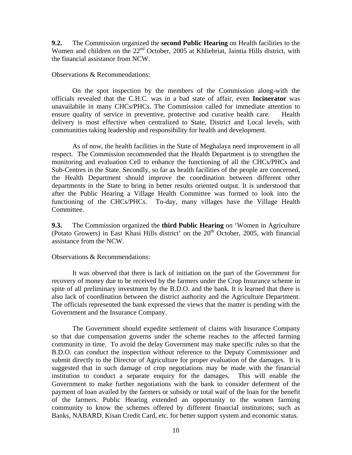**9.2.** The Commission organized the **second Public Hearing** on Health facilities to the Women and children on the  $22<sup>nd</sup>$  October, 2005 at Khliehriat, Jaintia Hills district, with the financial assistance from NCW.

Observations & Recommendations:

On the spot inspection by the members of the Commission along-with the officials revealed that the C.H.C. was in a bad state of affair, even **Incinerator** was unavailabile in many CHCs/PHCs. The Commission called for immediate attention to ensure quality of service in preventive, protective and curative health care. Health delivery is most effective when centralized to State, District and Local levels, with communities taking leadership and responsibility for health and development.

As of now, the health facilities in the State of Meghalaya need improvement in all respect. The Commission recommended that the Health Department is to strengthen the monitoring and evaluation Cell to enhance the functioning of all the CHCs/PHCs and Sub-Centres in the State. Secondly, so far as health facilities of the people are concerned, the Health Department should improve the coordination between different other departments in the State to bring in better results oriented output. It is understood that after the Public Hearing a Village Health Committee was formed to look into the functioning of the CHCs/PHCs. To-day, many villages have the Village Health Committee.

**9.3.** The Commission organized the **third Public Hearing** on 'Women in Agriculture (Potato Growers) in East Khasi Hills district' on the  $20<sup>th</sup>$  October, 2005, with financial assistance from the NCW.

Observations & Recommendations:

It was observed that there is lack of initiation on the part of the Government for recovery of money due to be received by the farmers under the Crop Insurance scheme in spite of all preliminary investment by the B.D.O. and the bank. It is learned that there is also lack of coordination between the district authority and the Agriculture Department. The officials represented the bank expressed the views that the matter is pending with the Government and the Insurance Company.

The Government should expedite settlement of claims with Insurance Company so that due compensation governs under the scheme reaches to the affected farming community in time. To avoid the delay Government may make specific rules so that the B.D.O. can conduct the inspection without reference to the Deputy Commissioner and submit directly to the Director of Agriculture for proper evaluation of the damages. It is suggested that in such damage of crop negotiations may be made with the financial institution to conduct a separate enquiry for the damages. This will enable the Government to make further negotiations with the bank to consider deferment of the payment of loan availed by the farmers or subsidy or total waif of the loan for the benefit of the farmers. Public Hearing extended an opportunity to the women farming community to know the schemes offered by different financial institutions; such as Banks, NABARD, Kisan Credit Card, etc. for better support system and economic status.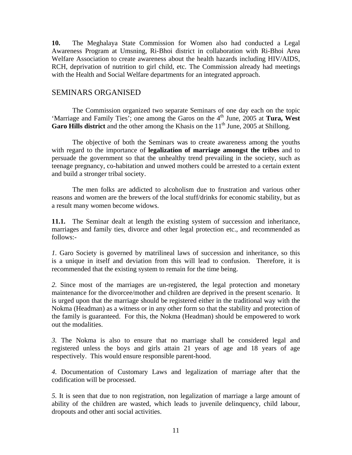**10.** The Meghalaya State Commission for Women also had conducted a Legal Awareness Program at Umsning, Ri-Bhoi district in collaboration with Ri-Bhoi Area Welfare Association to create awareness about the health hazards including HIV/AIDS, RCH, deprivation of nutrition to girl child, etc. The Commission already had meetings with the Health and Social Welfare departments for an integrated approach.

## SEMINARS ORGANISED

The Commission organized two separate Seminars of one day each on the topic 'Marriage and Family Ties'; one among the Garos on the 4<sup>th</sup> June, 2005 at **Tura, West** Garo Hills district and the other among the Khasis on the 11<sup>th</sup> June, 2005 at Shillong.

The objective of both the Seminars was to create awareness among the youths with regard to the importance of **legalization of marriage amongst the tribes** and to persuade the government so that the unhealthy trend prevailing in the society, such as teenage pregnancy, co-habitation and unwed mothers could be arrested to a certain extent and build a stronger tribal society.

The men folks are addicted to alcoholism due to frustration and various other reasons and women are the brewers of the local stuff/drinks for economic stability, but as a result many women become widows.

**11.1.** The Seminar dealt at length the existing system of succession and inheritance, marriages and family ties, divorce and other legal protection etc., and recommended as follows:

*1.* Garo Society is governed by matrilineal laws of succession and inheritance, so this is a unique in itself and deviation from this will lead to confusion. Therefore, it is recommended that the existing system to remain for the time being.

*2.* Since most of the marriages are un-registered, the legal protection and monetary maintenance for the divorcee/mother and children are deprived in the present scenario. It is urged upon that the marriage should be registered either in the traditional way with the Nokma (Headman) as a witness or in any other form so that the stability and protection of the family is guaranteed. For this, the Nokma (Headman) should be empowered to work out the modalities.

*3.* The Nokma is also to ensure that no marriage shall be considered legal and registered unless the boys and girls attain 21 years of age and 18 years of age respectively. This would ensure responsible parent-hood.

*4.* Documentation of Customary Laws and legalization of marriage after that the codification will be processed.

*5.* It is seen that due to non registration, non legalization of marriage a large amount of ability of the children are wasted, which leads to juvenile delinquency, child labour, dropouts and other anti social activities.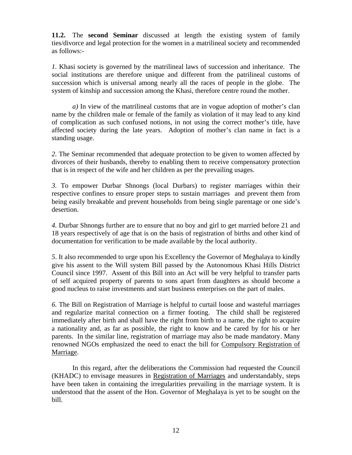**11.2.** The **second Seminar** discussed at length the existing system of family ties/divorce and legal protection for the women in a matrilineal society and recommended as follows:

*1.* Khasi society is governed by the matrilineal laws of succession and inheritance. The social institutions are therefore unique and different from the patrilineal customs of succession which is universal among nearly all the races of people in the globe. The system of kinship and succession among the Khasi, therefore centre round the mother.

*a)* In view of the matrilineal customs that are in vogue adoption of mother's clan name by the children male or female of the family as violation of it may lead to any kind of complication as such confused notions, in not using the correct mother's title, have affected society during the late years. Adoption of mother's clan name in fact is a standing usage.

*2.* The Seminar recommended that adequate protection to be given to women affected by divorces of their husbands, thereby to enabling them to receive compensatory protection that is in respect of the wife and her children as per the prevailing usages.

*3.* To empower Durbar Shnongs (local Durbars) to register marriages within their respective confines to ensure proper steps to sustain marriages and prevent them from being easily breakable and prevent households from being single parentage or one side's desertion.

*4.* Durbar Shnongs further are to ensure that no boy and girl to get married before 21 and 18 years respectively of age that is on the basis of registration of births and other kind of documentation for verification to be made available by the local authority.

*5*. It also recommended to urge upon his Excellency the Governor of Meghalaya to kindly give his assent to the Will system Bill passed by the Autonomous Khasi Hills District Council since 1997. Assent of this Bill into an Act will be very helpful to transfer parts of self acquired property of parents to sons apart from daughters as should become a good nucleus to raise investments and start business enterprises on the part of males.

*6.* The Bill on Registration of Marriage is helpful to curtail loose and wasteful marriages and regularize marital connection on a firmer footing. The child shall be registered immediately after birth and shall have the right from birth to a name, the right to acquire a nationality and, as far as possible, the right to know and be cared by for his or her parents. In the similar line, registration of marriage may also be made mandatory. Many renowned NGOs emphasized the need to enact the bill for Compulsory Registration of Marriage.

In this regard, after the deliberations the Commission had requested the Council (KHADC) to envisage measures in Registration of Marriages and understandably, steps have been taken in containing the irregularities prevailing in the marriage system. It is understood that the assent of the Hon. Governor of Meghalaya is yet to be sought on the bill.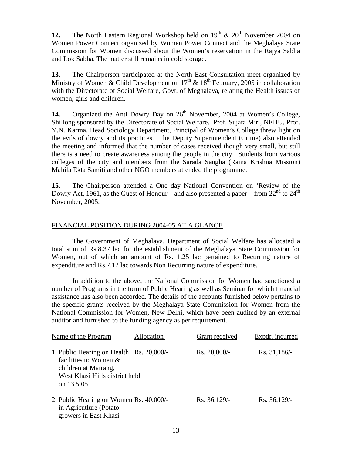12. The North Eastern Regional Workshop held on  $19<sup>th</sup> \& 20<sup>th</sup>$  November 2004 on Women Power Connect organized by Women Power Connect and the Meghalaya State Commission for Women discussed about the Women's reservation in the Rajya Sabha and Lok Sabha. The matter still remains in cold storage.

Ministry of Women & Child Development on  $17<sup>th</sup>$  &  $18<sup>th</sup>$  February, 2005 in collaboration with the Directorate of Social Welfare, Govt. of Meghalaya, relating the Health issues of women, girls and children. **13.** The Chairperson participated at the North East Consultation meet organized by

14. Organized the Anti Dowry Day on 26<sup>th</sup> November, 2004 at Women's College, Shillong sponsored by the Directorate of Social Welfare. Prof. Sujata Miri, NEHU, Prof. Y.N. Karma, Head Sociology Department, Principal of Women's College threw light on the evils of dowry and its practices. The Deputy Superintendent (Crime) also attended the meeting and informed that the number of cases received though very small, but still there is a need to create awareness among the people in the city. Students from various colleges of the city and members from the Sarada Sangha (Rama Krishna Mission) Mahila Ekta Samiti and other NGO members attended the programme.

November, 2005. **15.** The Chairperson attended a One day National Convention on 'Review of the Dowry Act, 1961, as the Guest of Honour – and also presented a paper – from  $22^{nd}$  to  $24^{th}$ 

# FINANCIAL POSITION DURING 2004-05 AT A GLANCE

The Government of Meghalaya, Department of Social Welfare has allocated a total sum of Rs.8.37 lac for the establishment of the Meghalaya State Commission for Women, out of which an amount of Rs. 1.25 lac pertained to Recurring nature of expenditure and Rs.7.12 lac towards Non Recurring nature of expenditure.

In addition to the above, the National Commission for Women had sanctioned a number of Programs in the form of Public Hearing as well as Seminar for which financial assistance has also been accorded. The details of the accounts furnished below pertains to the specific grants received by the Meghalaya State Commission for Women from the National Commission for Women, New Delhi, which have been audited by an external auditor and furnished to the funding agency as per requirement.

| Name of the Program                                                                                                                          | Allocation | Grant received  | Expdr. incurred |
|----------------------------------------------------------------------------------------------------------------------------------------------|------------|-----------------|-----------------|
| 1. Public Hearing on Health Rs. 20,000/-<br>facilities to Women $\&$<br>children at Mairang,<br>West Khasi Hills district held<br>on 13.5.05 |            | $Rs. 20,000/$ - | Rs. 31,186/     |
| 2. Public Hearing on Women Rs. 40,000/-<br>in Agricutlure (Potato<br>growers in East Khasi                                                   |            | Rs. 36,129/-    | Rs. 36,129/-    |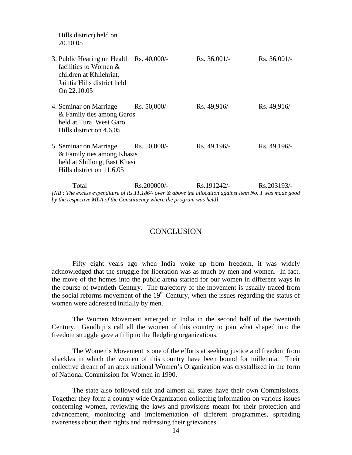| Hills district) held on<br>20.10.05                                                                                                        |                 |                |                |
|--------------------------------------------------------------------------------------------------------------------------------------------|-----------------|----------------|----------------|
| 3. Public Hearing on Health Rs. 40,000/-<br>facilities to Women &<br>children at Khliehriat,<br>Jaintia Hills district held<br>On 22.10.05 |                 | $Rs. 36,001/-$ | $Rs. 36,001/-$ |
| 4. Seminar on Marriage<br>& Family ties among Garos<br>held at Tura, West Garo<br>Hills district on 4.6.05                                 | $Rs. 50,000/$ - | Rs. 49,916/    | Rs. 49,916/-   |
| 5. Seminar on Marriage Rs. 50,000/-<br>& Family ties among Khasis<br>held at Shillong, East Khasi<br>Hills district on 11.6.05             |                 | Rs. 49,196/-   | Rs. 49,196/-   |
| Total                                                                                                                                      | Rs.200000/-     | Rs.191242/-    | Rs.203193/-    |

 *by the respective MLA of the Constituency where the program was held] [NB : The excess expenditure of Rs.11,186/- over & above the allocation against item No. 1 was made good* 

#### **CONCLUSION**

Fifty eight years ago when India woke up from freedom, it was widely acknowledged that the struggle for liberation was as much by men and women. In fact, the move of the homes into the public arena started for our women in different ways in the course of twentieth Century. The trajectory of the movement is usually traced from the social reforms movement of the  $19<sup>th</sup>$  Century, when the issues regarding the status of women were addressed initially by men.

The Women Movement emerged in India in the second half of the twentieth Century. Gandhiji's call all the women of this country to join what shaped into the freedom struggle gave a fillip to the fledgling organizations.

The Women's Movement is one of the efforts at seeking justice and freedom from shackles in which the women of this country have been bound for millennia. Their collective dream of an apex national Women's Organization was crystallized in the form of National Commission for Women in 1990.

The state also followed suit and almost all states have their own Commissions. Together they form a country wide Organization collecting information on various issues concerning women, reviewing the laws and provisions meant for their protection and advancement, monitoring and implementation of different programmes, spreading awareness about their rights and redressing their grievances.